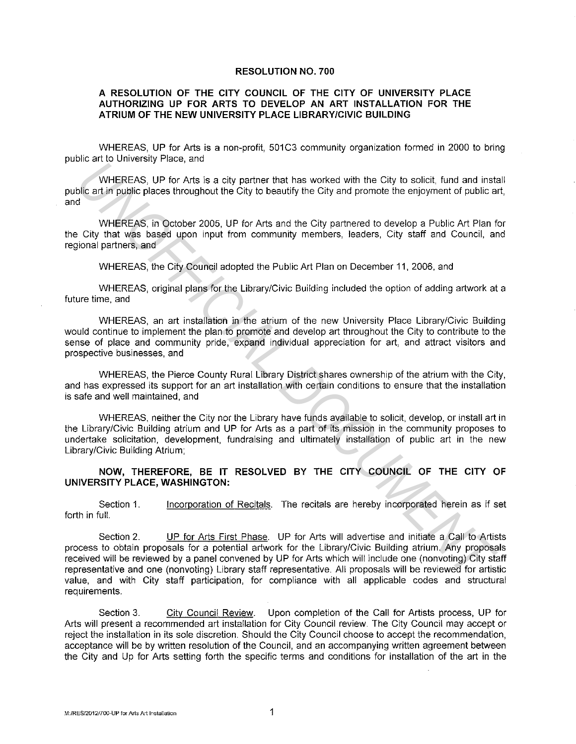## **RESOLUTION NO. 700**

## **A RESOLUTION OF THE CITY COUNCIL OF THE CITY OF UNIVERSITY PLACE AUTHORIZING UP FOR ARTS TO DEVELOP AN ART INSTALLATION FOR THE ATRIUM OF THE NEW UNIVERSITY PLACE LIBRARY/CIVIC BUILDING**

WHEREAS, UP for Arts is a non-profit, 501C3 community organization formed in 2000 to bring public art to University Place, and

WHEREAS, UP for Arts is a city partner that has worked with the City to solicit, fund and install public art in public places throughout the City to beautify the City and promote the enjoyment of public art, and

WHEREAS, in October 2005, UP for Arts and the City partnered to develop a Public Art Plan for the City that was based upon input from community members, leaders, City staff and Council, and regional partners, and

WHEREAS, the City Council adopted the Public Art Plan on December 11, 2006, and

WHEREAS, original plans for the Library/Civic Building included the option of adding artwork at a future time, and

WHEREAS, an art installation in the atrium of the new University Place Library/Civic Building would continue to implement the plan to promote and develop art throughout the City to contribute to the sense of place and community pride, expand individual appreciation for art, and attract visitors and prospective businesses, and

WHEREAS, the Pierce County Rural Library District shares ownership of the atrium with the City, and has expressed its support for an art installation with certain conditions to ensure that the installation is safe and well maintained, and

WHEREAS, neither the City nor the Library have funds available to solicit, develop, or install art in the Library/Civic Building atrium and UP for Arts as a part of its mission in the community proposes to undertake solicitation, development, fundraising and ultimately installation of public art in the new Library/Civic Building Atrium;

## **NOW, THEREFORE, BE IT RESOLVED BY THE CITY COUNCIL OF THE CITY OF UNIVERSITY PLACE, WASHINGTON:**

Section 1. forth in full. Incorporation of Recitals. The recitals are hereby incorporated herein as if set

Section 2. UP for Arts First Phase. UP for Arts will advertise and initiate a Call to Artists process to obtain proposals for a potential artwork for the Library/Civic Building atrium. Any proposals received will be reviewed by a panel convened by UP for Arts which will include one (nonvoting) City staff representative and one (nonvoting) Library staff representative. All proposals will be reviewed for artistic value, and with City staff participation, for compliance with all applicable codes and structural requirements. **Example 12**<br>
WHEREAS, UP for Arts is a city partner that has worked with the City to solicit, fund and institute and into the City and promote the enjoyment of public and the City and promote the enjoyment of public and t

Section 3. City Council Review. Upon completion of the Call for Artists process, UP for Arts will present a recommended art installation for City Council review. The City Council may accept or reject the installation in its sole discretion. Should the City Council choose to accept the recommendation, acceptance will be by written resolution of the Council, and an accompanying written agreement between the City and Up for Arts setting forth the specific terms and conditions for installation of the art in the